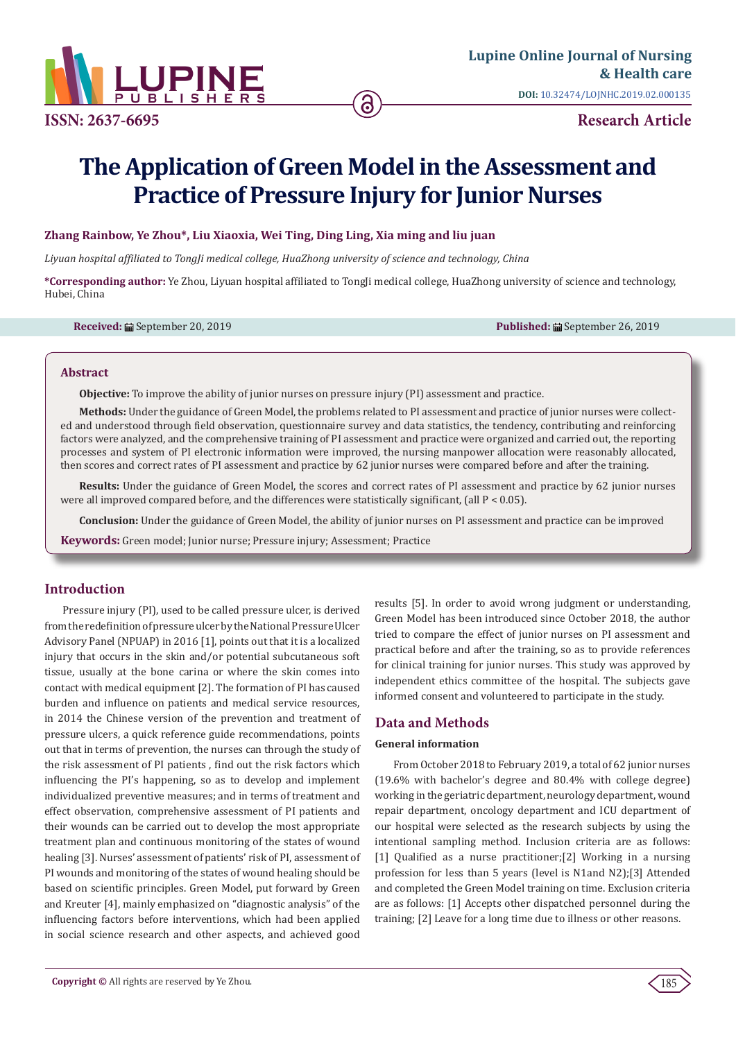

**ISSN: 2637-6695 Research Article**

# **The Application of Green Model in the Assessment and Practice of Pressure Injury for Junior Nurses**

# **Zhang Rainbow, Ye Zhou\*, Liu Xiaoxia, Wei Ting, Ding Ling, Xia ming and liu juan**

*Liyuan hospital affiliated to TongJi medical college, HuaZhong university of science and technology, China*

**\*Corresponding author:** Ye Zhou, Liyuan hospital affiliated to TongJi medical college, HuaZhong university of science and technology, Hubei, China

**Received:** ■ September 20, 2019 **Published:** ■ September 26, 2019

#### **Abstract**

**Objective:** To improve the ability of junior nurses on pressure injury (PI) assessment and practice.

**Methods:** Under the guidance of Green Model, the problems related to PI assessment and practice of junior nurses were collected and understood through field observation, questionnaire survey and data statistics, the tendency, contributing and reinforcing factors were analyzed, and the comprehensive training of PI assessment and practice were organized and carried out, the reporting processes and system of PI electronic information were improved, the nursing manpower allocation were reasonably allocated, then scores and correct rates of PI assessment and practice by 62 junior nurses were compared before and after the training.

**Results:** Under the guidance of Green Model, the scores and correct rates of PI assessment and practice by 62 junior nurses were all improved compared before, and the differences were statistically significant, (all P < 0.05).

**Conclusion:** Under the guidance of Green Model, the ability of junior nurses on PI assessment and practice can be improved

**Keywords:** Green model; Junior nurse; Pressure injury; Assessment; Practice

# **Introduction**

Pressure injury (PI), used to be called pressure ulcer, is derived from the redefinition of pressure ulcer by the National Pressure Ulcer Advisory Panel (NPUAP) in 2016 [1], points out that it is a localized injury that occurs in the skin and/or potential subcutaneous soft tissue, usually at the bone carina or where the skin comes into contact with medical equipment [2]. The formation of PI has caused burden and influence on patients and medical service resources, in 2014 the Chinese version of the prevention and treatment of pressure ulcers, a quick reference guide recommendations, points out that in terms of prevention, the nurses can through the study of the risk assessment of PI patients , find out the risk factors which influencing the PI's happening, so as to develop and implement individualized preventive measures; and in terms of treatment and effect observation, comprehensive assessment of PI patients and their wounds can be carried out to develop the most appropriate treatment plan and continuous monitoring of the states of wound healing [3]. Nurses' assessment of patients' risk of PI, assessment of PI wounds and monitoring of the states of wound healing should be based on scientific principles. Green Model, put forward by Green and Kreuter [4], mainly emphasized on "diagnostic analysis" of the influencing factors before interventions, which had been applied in social science research and other aspects, and achieved good

results [5]. In order to avoid wrong judgment or understanding, Green Model has been introduced since October 2018, the author tried to compare the effect of junior nurses on PI assessment and practical before and after the training, so as to provide references for clinical training for junior nurses. This study was approved by independent ethics committee of the hospital. The subjects gave informed consent and volunteered to participate in the study.

# **Data and Methods**

## **General information**

From October 2018 to February 2019, a total of 62 junior nurses (19.6% with bachelor's degree and 80.4% with college degree) working in the geriatric department, neurology department, wound repair department, oncology department and ICU department of our hospital were selected as the research subjects by using the intentional sampling method. Inclusion criteria are as follows: [1] Qualified as a nurse practitioner;[2] Working in a nursing profession for less than 5 years (level is N1and N2);[3] Attended and completed the Green Model training on time. Exclusion criteria are as follows: [1] Accepts other dispatched personnel during the training; [2] Leave for a long time due to illness or other reasons.

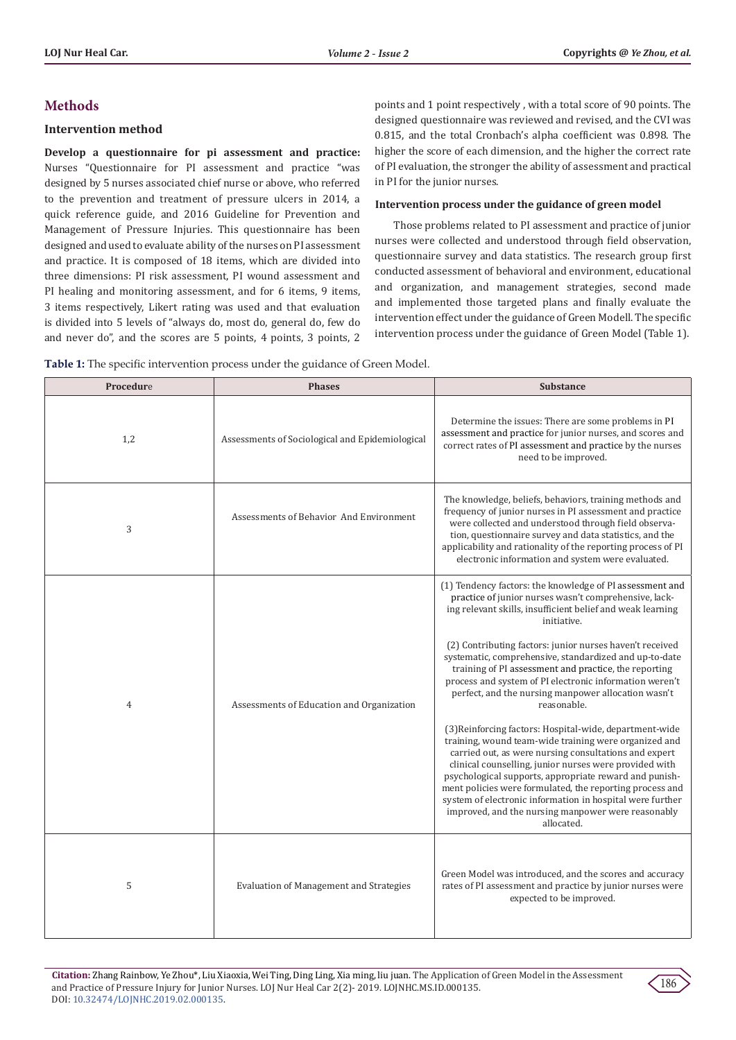# **Methods**

### **Intervention method**

**Develop a questionnaire for pi assessment and practice:**  Nurses "Questionnaire for PI assessment and practice "was designed by 5 nurses associated chief nurse or above, who referred to the prevention and treatment of pressure ulcers in 2014, a quick reference guide, and 2016 Guideline for Prevention and Management of Pressure Injuries. This questionnaire has been designed and used to evaluate ability of the nurses on PI assessment and practice. It is composed of 18 items, which are divided into three dimensions: PI risk assessment, PI wound assessment and PI healing and monitoring assessment, and for 6 items, 9 items, 3 items respectively, Likert rating was used and that evaluation is divided into 5 levels of "always do, most do, general do, few do and never do", and the scores are 5 points, 4 points, 3 points, 2

points and 1 point respectively , with a total score of 90 points. The designed questionnaire was reviewed and revised, and the CVI was 0.815, and the total Cronbach's alpha coefficient was 0.898. The higher the score of each dimension, and the higher the correct rate of PI evaluation, the stronger the ability of assessment and practical in PI for the junior nurses.

#### **Intervention process under the guidance of green model**

Those problems related to PI assessment and practice of junior nurses were collected and understood through field observation, questionnaire survey and data statistics. The research group first conducted assessment of behavioral and environment, educational and organization, and management strategies, second made and implemented those targeted plans and finally evaluate the intervention effect under the guidance of Green Modell. The specific intervention process under the guidance of Green Model (Table 1).

| Procedure | <b>Phases</b>                                   | <b>Substance</b>                                                                                                                                                                                                                                                                                                                                                                                                                                                                                                                                                                                                                                                                                                                                                                                                                                                                                                                                                                                             |  |  |
|-----------|-------------------------------------------------|--------------------------------------------------------------------------------------------------------------------------------------------------------------------------------------------------------------------------------------------------------------------------------------------------------------------------------------------------------------------------------------------------------------------------------------------------------------------------------------------------------------------------------------------------------------------------------------------------------------------------------------------------------------------------------------------------------------------------------------------------------------------------------------------------------------------------------------------------------------------------------------------------------------------------------------------------------------------------------------------------------------|--|--|
| 1,2       | Assessments of Sociological and Epidemiological | Determine the issues: There are some problems in PI<br>assessment and practice for junior nurses, and scores and<br>correct rates of PI assessment and practice by the nurses<br>need to be improved.                                                                                                                                                                                                                                                                                                                                                                                                                                                                                                                                                                                                                                                                                                                                                                                                        |  |  |
| 3         | Assessments of Behavior And Environment         | The knowledge, beliefs, behaviors, training methods and<br>frequency of junior nurses in PI assessment and practice<br>were collected and understood through field observa-<br>tion, questionnaire survey and data statistics, and the<br>applicability and rationality of the reporting process of PI<br>electronic information and system were evaluated.                                                                                                                                                                                                                                                                                                                                                                                                                                                                                                                                                                                                                                                  |  |  |
| 4         | Assessments of Education and Organization       | (1) Tendency factors: the knowledge of PI assessment and<br>practice of junior nurses wasn't comprehensive, lack-<br>ing relevant skills, insufficient belief and weak learning<br>initiative.<br>(2) Contributing factors: junior nurses haven't received<br>systematic, comprehensive, standardized and up-to-date<br>training of PI assessment and practice, the reporting<br>process and system of PI electronic information weren't<br>perfect, and the nursing manpower allocation wasn't<br>reasonable.<br>(3) Reinforcing factors: Hospital-wide, department-wide<br>training, wound team-wide training were organized and<br>carried out, as were nursing consultations and expert<br>clinical counselling, junior nurses were provided with<br>psychological supports, appropriate reward and punish-<br>ment policies were formulated, the reporting process and<br>system of electronic information in hospital were further<br>improved, and the nursing manpower were reasonably<br>allocated. |  |  |
| 5         | <b>Evaluation of Management and Strategies</b>  | Green Model was introduced, and the scores and accuracy<br>rates of PI assessment and practice by junior nurses were<br>expected to be improved.                                                                                                                                                                                                                                                                                                                                                                                                                                                                                                                                                                                                                                                                                                                                                                                                                                                             |  |  |

**Table 1:** The specific intervention process under the guidance of Green Model.

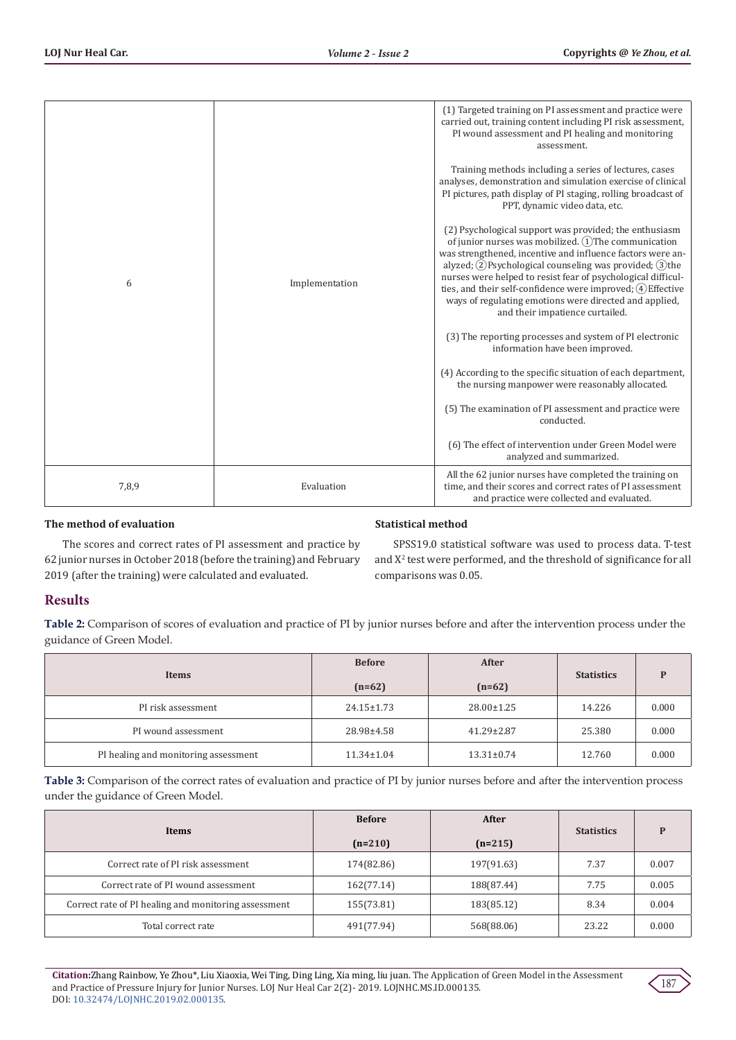| 6     | Implementation | (1) Targeted training on PI assessment and practice were<br>carried out, training content including PI risk assessment,<br>PI wound assessment and PI healing and monitoring<br>assessment.<br>Training methods including a series of lectures, cases<br>analyses, demonstration and simulation exercise of clinical<br>PI pictures, path display of PI staging, rolling broadcast of<br>PPT, dynamic video data, etc.<br>(2) Psychological support was provided; the enthusiasm<br>of junior nurses was mobilized. 1 The communication<br>was strengthened, incentive and influence factors were an-<br>alyzed; $(2)$ Psychological counseling was provided; $(3)$ the<br>nurses were helped to resist fear of psychological difficul-<br>ties, and their self-confidence were improved; (4) Effective<br>ways of regulating emotions were directed and applied,<br>and their impatience curtailed.<br>(3) The reporting processes and system of PI electronic<br>information have been improved.<br>(4) According to the specific situation of each department,<br>the nursing manpower were reasonably allocated. |  |
|-------|----------------|----------------------------------------------------------------------------------------------------------------------------------------------------------------------------------------------------------------------------------------------------------------------------------------------------------------------------------------------------------------------------------------------------------------------------------------------------------------------------------------------------------------------------------------------------------------------------------------------------------------------------------------------------------------------------------------------------------------------------------------------------------------------------------------------------------------------------------------------------------------------------------------------------------------------------------------------------------------------------------------------------------------------------------------------------------------------------------------------------------------------|--|
|       |                | (5) The examination of PI assessment and practice were<br>conducted.                                                                                                                                                                                                                                                                                                                                                                                                                                                                                                                                                                                                                                                                                                                                                                                                                                                                                                                                                                                                                                                 |  |
|       |                | (6) The effect of intervention under Green Model were<br>analyzed and summarized.                                                                                                                                                                                                                                                                                                                                                                                                                                                                                                                                                                                                                                                                                                                                                                                                                                                                                                                                                                                                                                    |  |
| 7,8,9 | Evaluation     | All the 62 junior nurses have completed the training on<br>time, and their scores and correct rates of PI assessment<br>and practice were collected and evaluated.                                                                                                                                                                                                                                                                                                                                                                                                                                                                                                                                                                                                                                                                                                                                                                                                                                                                                                                                                   |  |

# **The method of evaluation**

## **Statistical method**

The scores and correct rates of PI assessment and practice by 62 junior nurses in October 2018 (before the training) and February 2019 (after the training) were calculated and evaluated.

SPSS19.0 statistical software was used to process data. T-test and X<sup>2</sup> test were performed, and the threshold of significance for all comparisons was 0.05.

# **Results**

**Table 2:** Comparison of scores of evaluation and practice of PI by junior nurses before and after the intervention process under the guidance of Green Model.

| Items                                | <b>Before</b>    | After            | <b>Statistics</b> |       |
|--------------------------------------|------------------|------------------|-------------------|-------|
|                                      | $(n=62)$         | $(n=62)$         |                   |       |
| PI risk assessment                   | $24.15 \pm 1.73$ | $28.00 \pm 1.25$ | 14.226            | 0.000 |
| PI wound assessment                  | 28.98±4.58       | $41.29 \pm 2.87$ | 25.380            | 0.000 |
| PI healing and monitoring assessment | $11.34 \pm 1.04$ | $13.31 \pm 0.74$ | 12.760            | 0.000 |

**Table 3:** Comparison of the correct rates of evaluation and practice of PI by junior nurses before and after the intervention process under the guidance of Green Model.

| Items                                                | <b>Before</b> | After      | <b>Statistics</b> |       |
|------------------------------------------------------|---------------|------------|-------------------|-------|
|                                                      | $(n=210)$     | $(n=215)$  |                   |       |
| Correct rate of PI risk assessment                   | 174(82.86)    | 197(91.63) | 7.37              | 0.007 |
| Correct rate of PI wound assessment                  | 162(77.14)    | 188(87.44) | 7.75              | 0.005 |
| Correct rate of PI healing and monitoring assessment | 155(73.81)    | 183(85.12) | 8.34              | 0.004 |
| Total correct rate                                   | 491(77.94)    | 568(88.06) | 23.22             | 0.000 |

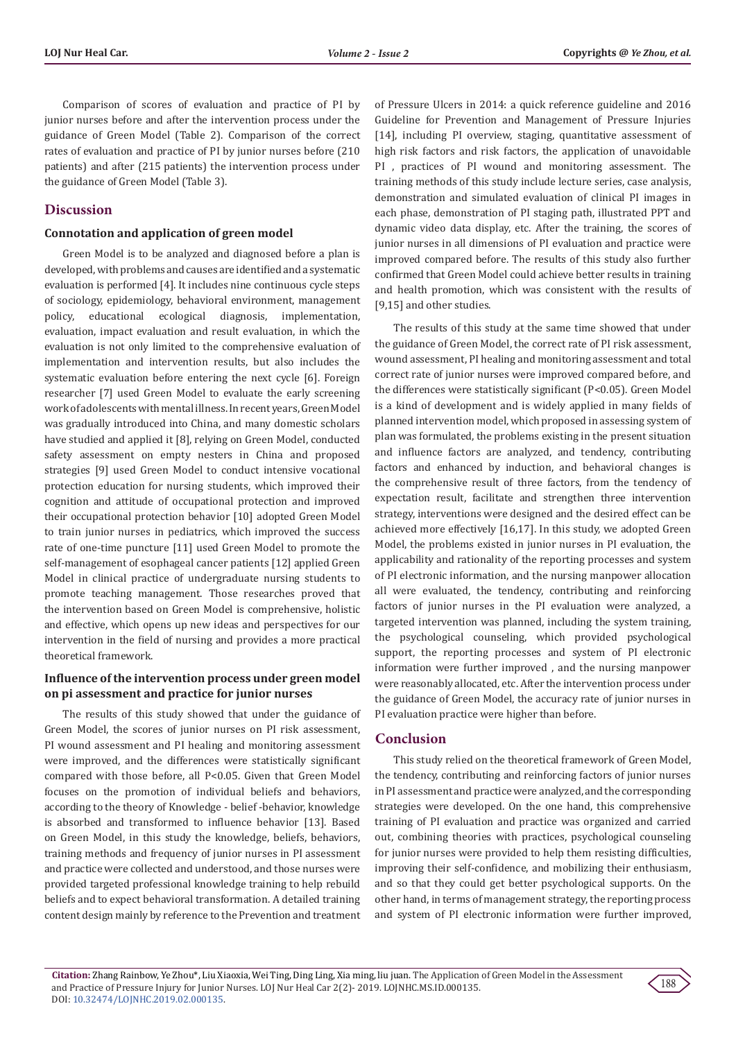Comparison of scores of evaluation and practice of PI by junior nurses before and after the intervention process under the guidance of Green Model (Table 2). Comparison of the correct rates of evaluation and practice of PI by junior nurses before (210 patients) and after (215 patients) the intervention process under the guidance of Green Model (Table 3).

## **Discussion**

#### **Connotation and application of green model**

Green Model is to be analyzed and diagnosed before a plan is developed, with problems and causes are identified and a systematic evaluation is performed [4]. It includes nine continuous cycle steps of sociology, epidemiology, behavioral environment, management policy, educational ecological diagnosis, implementation, evaluation, impact evaluation and result evaluation, in which the evaluation is not only limited to the comprehensive evaluation of implementation and intervention results, but also includes the systematic evaluation before entering the next cycle [6]. Foreign researcher [7] used Green Model to evaluate the early screening work of adolescents with mental illness. In recent years, Green Model was gradually introduced into China, and many domestic scholars have studied and applied it [8], relying on Green Model, conducted safety assessment on empty nesters in China and proposed strategies [9] used Green Model to conduct intensive vocational protection education for nursing students, which improved their cognition and attitude of occupational protection and improved their occupational protection behavior [10] adopted Green Model to train junior nurses in pediatrics, which improved the success rate of one-time puncture [11] used Green Model to promote the self-management of esophageal cancer patients [12] applied Green Model in clinical practice of undergraduate nursing students to promote teaching management. Those researches proved that the intervention based on Green Model is comprehensive, holistic and effective, which opens up new ideas and perspectives for our intervention in the field of nursing and provides a more practical theoretical framework.

### **Influence of the intervention process under green model on pi assessment and practice for junior nurses**

The results of this study showed that under the guidance of Green Model, the scores of junior nurses on PI risk assessment, PI wound assessment and PI healing and monitoring assessment were improved, and the differences were statistically significant compared with those before, all P<0.05. Given that Green Model focuses on the promotion of individual beliefs and behaviors, according to the theory of Knowledge - belief -behavior, knowledge is absorbed and transformed to influence behavior [13]. Based on Green Model, in this study the knowledge, beliefs, behaviors, training methods and frequency of junior nurses in PI assessment and practice were collected and understood, and those nurses were provided targeted professional knowledge training to help rebuild beliefs and to expect behavioral transformation. A detailed training content design mainly by reference to the Prevention and treatment

of Pressure Ulcers in 2014: a quick reference guideline and 2016 Guideline for Prevention and Management of Pressure Injuries [14], including PI overview, staging, quantitative assessment of high risk factors and risk factors, the application of unavoidable PI , practices of PI wound and monitoring assessment. The training methods of this study include lecture series, case analysis, demonstration and simulated evaluation of clinical PI images in each phase, demonstration of PI staging path, illustrated PPT and dynamic video data display, etc. After the training, the scores of junior nurses in all dimensions of PI evaluation and practice were improved compared before. The results of this study also further confirmed that Green Model could achieve better results in training and health promotion, which was consistent with the results of [9,15] and other studies.

The results of this study at the same time showed that under the guidance of Green Model, the correct rate of PI risk assessment, wound assessment, PI healing and monitoring assessment and total correct rate of junior nurses were improved compared before, and the differences were statistically significant (P<0.05). Green Model is a kind of development and is widely applied in many fields of planned intervention model, which proposed in assessing system of plan was formulated, the problems existing in the present situation and influence factors are analyzed, and tendency, contributing factors and enhanced by induction, and behavioral changes is the comprehensive result of three factors, from the tendency of expectation result, facilitate and strengthen three intervention strategy, interventions were designed and the desired effect can be achieved more effectively [16,17]. In this study, we adopted Green Model, the problems existed in junior nurses in PI evaluation, the applicability and rationality of the reporting processes and system of PI electronic information, and the nursing manpower allocation all were evaluated, the tendency, contributing and reinforcing factors of junior nurses in the PI evaluation were analyzed, a targeted intervention was planned, including the system training, the psychological counseling, which provided psychological support, the reporting processes and system of PI electronic information were further improved , and the nursing manpower were reasonably allocated, etc. After the intervention process under the guidance of Green Model, the accuracy rate of junior nurses in PI evaluation practice were higher than before.

## **Conclusion**

This study relied on the theoretical framework of Green Model, the tendency, contributing and reinforcing factors of junior nurses in PI assessment and practice were analyzed, and the corresponding strategies were developed. On the one hand, this comprehensive training of PI evaluation and practice was organized and carried out, combining theories with practices, psychological counseling for junior nurses were provided to help them resisting difficulties, improving their self-confidence, and mobilizing their enthusiasm, and so that they could get better psychological supports. On the other hand, in terms of management strategy, the reporting process and system of PI electronic information were further improved,